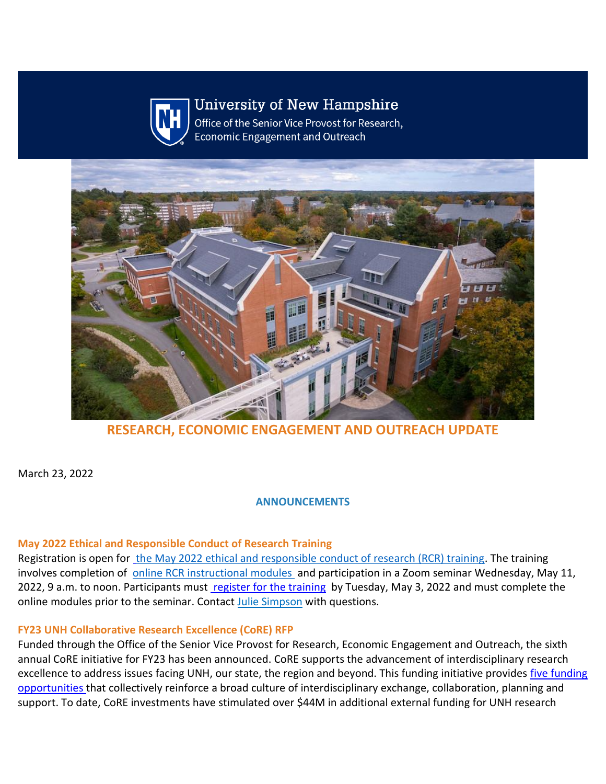

# **University of New Hampshire**

Office of the Senior Vice Provost for Research, **Economic Engagement and Outreach** 



**RESEARCH, ECONOMIC ENGAGEMENT AND OUTREACH UPDATE**

March 23, 2022

**ANNOUNCEMENTS**

#### **May 2022 Ethical and Responsible Conduct of Research Training**

Registration is open for the May 2022 ethical and responsible conduct of research (RCR) training. The training involves completion of  [online RCR instructional modules](https://nam12.safelinks.protection.outlook.com/?url=https%3A%2F%2Fclick.send.unh.edu%2F%3Fqs%3Da6b9211740bfcbabe3ee8c19fd84926bae05db0afa1c7e820d45b9e4eb81aa084a8cc11934ce834b5b307e8d13c4cbc9f29016b8cc36ea6b&data=04%7C01%7CNicole.Hentz%40unh.edu%7C65aee4f2b1a94916a6eb08da0cff5bdb%7Cd6241893512d46dc8d2bbe47e25f5666%7C0%7C0%7C637836588136383123%7CUnknown%7CTWFpbGZsb3d8eyJWIjoiMC4wLjAwMDAiLCJQIjoiV2luMzIiLCJBTiI6Ik1haWwiLCJXVCI6Mn0%3D%7C3000&sdata=mmgBEHmFXIB9F5Ykqq3sKNTpDMyy6bJFHlF7Y7HMTj4%3D&reserved=0) and participation in a Zoom seminar Wednesday, May 11, 2022, 9 a.m. to noon. Participants must [register for the training](https://nam12.safelinks.protection.outlook.com/?url=https%3A%2F%2Fclick.send.unh.edu%2F%3Fqs%3Da6b9211740bfcbab4476825267b878c52f547673d79712c86caad802a980e229804ab0b99841f2c0148baf47e03e647a8a2ba2787de420c6&data=04%7C01%7CNicole.Hentz%40unh.edu%7C65aee4f2b1a94916a6eb08da0cff5bdb%7Cd6241893512d46dc8d2bbe47e25f5666%7C0%7C0%7C637836588136383123%7CUnknown%7CTWFpbGZsb3d8eyJWIjoiMC4wLjAwMDAiLCJQIjoiV2luMzIiLCJBTiI6Ik1haWwiLCJXVCI6Mn0%3D%7C3000&sdata=Q3uNSZfqvk0itb6zGQhXHkUK6ILXoqesytcc0Nm92PM%3D&reserved=0) by Tuesday, May 3, 2022 and must complete the online modules prior to the seminar. Contact Julie Simpson with questions.

# **FY23 UNH Collaborative Research Excellence (CoRE) RFP**

Funded through the Office of the Senior Vice Provost for Research, Economic Engagement and Outreach, the sixth annual CoRE initiative for FY23 has been announced. CoRE supports the advancement of interdisciplinary research excellence to address issues facing UNH, our state, the region and beyond. This funding initiative provides [five funding](https://nam12.safelinks.protection.outlook.com/?url=https%3A%2F%2Fclick.send.unh.edu%2F%3Fqs%3Da6b9211740bfcbab27285dc801ea5a99b6bd27469abf5c38bcc774ea8227bc28fe044888ad15fd72ed81b50b9db8d4d97cb11b73a4151797&data=04%7C01%7CNicole.Hentz%40unh.edu%7C65aee4f2b1a94916a6eb08da0cff5bdb%7Cd6241893512d46dc8d2bbe47e25f5666%7C0%7C0%7C637836588136383123%7CUnknown%7CTWFpbGZsb3d8eyJWIjoiMC4wLjAwMDAiLCJQIjoiV2luMzIiLCJBTiI6Ik1haWwiLCJXVCI6Mn0%3D%7C3000&sdata=xNdhHdWgj4t9PH43FGtg0jNS8DL5D8R7L3oabJ4bTQc%3D&reserved=0)  [opportunities t](https://nam12.safelinks.protection.outlook.com/?url=https%3A%2F%2Fclick.send.unh.edu%2F%3Fqs%3Da6b9211740bfcbab27285dc801ea5a99b6bd27469abf5c38bcc774ea8227bc28fe044888ad15fd72ed81b50b9db8d4d97cb11b73a4151797&data=04%7C01%7CNicole.Hentz%40unh.edu%7C65aee4f2b1a94916a6eb08da0cff5bdb%7Cd6241893512d46dc8d2bbe47e25f5666%7C0%7C0%7C637836588136383123%7CUnknown%7CTWFpbGZsb3d8eyJWIjoiMC4wLjAwMDAiLCJQIjoiV2luMzIiLCJBTiI6Ik1haWwiLCJXVCI6Mn0%3D%7C3000&sdata=xNdhHdWgj4t9PH43FGtg0jNS8DL5D8R7L3oabJ4bTQc%3D&reserved=0)hat collectively reinforce a broad culture of interdisciplinary exchange, collaboration, planning and support. To date, CoRE investments have stimulated over \$44M in additional external funding for UNH research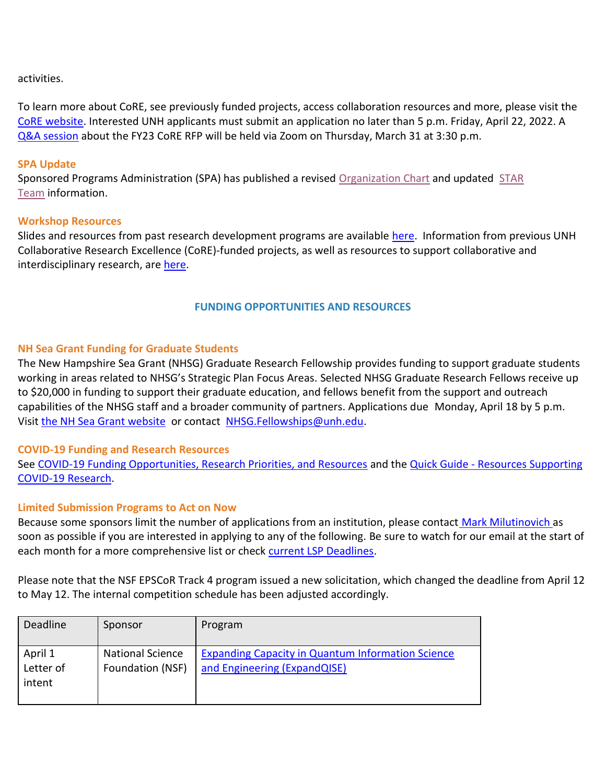activities.

To learn more about CoRE, see previously funded projects, access collaboration resources and more, please visit the [CoRE website.](https://nam12.safelinks.protection.outlook.com/?url=https%3A%2F%2Fclick.send.unh.edu%2F%3Fqs%3Da6b9211740bfcbab6c1317e8173ef494e790f55a2e45b207e92e63cc06ecd100b4a356e2224ec49bc6162ad799bf0b9206a54ab24671f3dd&data=04%7C01%7CNicole.Hentz%40unh.edu%7C65aee4f2b1a94916a6eb08da0cff5bdb%7Cd6241893512d46dc8d2bbe47e25f5666%7C0%7C0%7C637836588136383123%7CUnknown%7CTWFpbGZsb3d8eyJWIjoiMC4wLjAwMDAiLCJQIjoiV2luMzIiLCJBTiI6Ik1haWwiLCJXVCI6Mn0%3D%7C3000&sdata=oDaI%2BG3i2PpO5rIi4xXSuXtiLhWeZHb91rqqdGbTAcY%3D&reserved=0) Interested UNH applicants must submit an application no later than 5 p.m. Friday, April 22, 2022. A [Q&A session](https://nam12.safelinks.protection.outlook.com/?url=https%3A%2F%2Fclick.send.unh.edu%2F%3Fqs%3Da6b9211740bfcbabf8fc63f558982ccc1035a69679e66bbeae1868a87306ae0bf7c5ac7061c6c0f7194fdaeec4eb67307b64d654492bf5fa&data=04%7C01%7CNicole.Hentz%40unh.edu%7C65aee4f2b1a94916a6eb08da0cff5bdb%7Cd6241893512d46dc8d2bbe47e25f5666%7C0%7C0%7C637836588136383123%7CUnknown%7CTWFpbGZsb3d8eyJWIjoiMC4wLjAwMDAiLCJQIjoiV2luMzIiLCJBTiI6Ik1haWwiLCJXVCI6Mn0%3D%7C3000&sdata=ljEPu%2BWF41yGi8k4a6E1j2oyVD3Q6gIwUDHOg9%2Fk8UM%3D&reserved=0) about the FY23 CoRE RFP will be held via Zoom on Thursday, March 31 at 3:30 p.m.

#### **SPA Update**

Sponsored Programs Administration (SPA) has published a revised [Organization Chart](https://nam12.safelinks.protection.outlook.com/?url=https%3A%2F%2Fclick.send.unh.edu%2F%3Fqs%3Da6b9211740bfcbabb13445c66282871c76188a27022eed415875d0b19dcdc4bd2938c97c49950833f4a4e24197d981a09bb206eee9003293&data=04%7C01%7CNicole.Hentz%40unh.edu%7C65aee4f2b1a94916a6eb08da0cff5bdb%7Cd6241893512d46dc8d2bbe47e25f5666%7C0%7C0%7C637836588136383123%7CUnknown%7CTWFpbGZsb3d8eyJWIjoiMC4wLjAwMDAiLCJQIjoiV2luMzIiLCJBTiI6Ik1haWwiLCJXVCI6Mn0%3D%7C3000&sdata=caoh1kLf4KVg1115ZekaKtmNlWVr%2B7e0v4qBwApDzt8%3D&reserved=0) and updated STAR [Team](https://nam12.safelinks.protection.outlook.com/?url=https%3A%2F%2Fclick.send.unh.edu%2F%3Fqs%3Da6b9211740bfcbab0488378a98f6e4bf1d578398061ec0fa4f9d3a8c11aad4f18c6bf818d633ced5f9d09abda4164787706ae5bb77de669b&data=04%7C01%7CNicole.Hentz%40unh.edu%7C65aee4f2b1a94916a6eb08da0cff5bdb%7Cd6241893512d46dc8d2bbe47e25f5666%7C0%7C0%7C637836588136383123%7CUnknown%7CTWFpbGZsb3d8eyJWIjoiMC4wLjAwMDAiLCJQIjoiV2luMzIiLCJBTiI6Ik1haWwiLCJXVCI6Mn0%3D%7C3000&sdata=1JvFQFr3PJfyI5M4KPy2%2BSw51LrI68v%2BGpSnpqczQPg%3D&reserved=0) information.

#### **Workshop Resources**

Slides and resources from past research development programs are available [here.](https://nam12.safelinks.protection.outlook.com/?url=https%3A%2F%2Fclick.send.unh.edu%2F%3Fqs%3Da6b9211740bfcbab55b177eccb86ce024bfcadbad44dad1a1fb61fdb91bafbb7359ce9dbfed777913693efec4bd932aa18128b84ccdff3a1&data=04%7C01%7CNicole.Hentz%40unh.edu%7C65aee4f2b1a94916a6eb08da0cff5bdb%7Cd6241893512d46dc8d2bbe47e25f5666%7C0%7C0%7C637836588136383123%7CUnknown%7CTWFpbGZsb3d8eyJWIjoiMC4wLjAwMDAiLCJQIjoiV2luMzIiLCJBTiI6Ik1haWwiLCJXVCI6Mn0%3D%7C3000&sdata=NiULNC9rDbox4EIeVmkWzmdQOnb2co6YqUNFLsOkkvo%3D&reserved=0) Information from previous UNH Collaborative Research Excellence (CoRE)-funded projects, as well as resources to support collaborative and interdisciplinary research, are [here.](https://nam12.safelinks.protection.outlook.com/?url=https%3A%2F%2Fclick.send.unh.edu%2F%3Fqs%3Da6b9211740bfcbab2e5cc5d938351d0f536ac7295d22b6d74710929aebadbc4147f6ba36f0eb4058dfe92902412b55c5cea406f99788f7b1&data=04%7C01%7CNicole.Hentz%40unh.edu%7C65aee4f2b1a94916a6eb08da0cff5bdb%7Cd6241893512d46dc8d2bbe47e25f5666%7C0%7C0%7C637836588136383123%7CUnknown%7CTWFpbGZsb3d8eyJWIjoiMC4wLjAwMDAiLCJQIjoiV2luMzIiLCJBTiI6Ik1haWwiLCJXVCI6Mn0%3D%7C3000&sdata=rwjJnFHterQg8QsEI4TPx1THkdEkL73PnigBpEK%2BR8M%3D&reserved=0)

#### **FUNDING OPPORTUNITIES AND RESOURCES**

#### **NH Sea Grant Funding for Graduate Students**

The New Hampshire Sea Grant (NHSG) Graduate Research Fellowship provides funding to support graduate students working in areas related to NHSG's Strategic Plan Focus Areas. Selected NHSG Graduate Research Fellows receive up to \$20,000 in funding to support their graduate education, and fellows benefit from the support and outreach capabilities of the NHSG staff and a broader community of partners. Applications due Monday, April 18 by 5 p.m. Visit [the NH Sea Grant website](https://nam12.safelinks.protection.outlook.com/?url=https%3A%2F%2Fclick.send.unh.edu%2F%3Fqs%3Da6b9211740bfcbabf2307981cd2d02cb36ee8d7af972bb07be178e9fb157a8433c42832405a93e471d499289c9a2ff56118d8a64eea93e2e&data=04%7C01%7CNicole.Hentz%40unh.edu%7C65aee4f2b1a94916a6eb08da0cff5bdb%7Cd6241893512d46dc8d2bbe47e25f5666%7C0%7C0%7C637836588136383123%7CUnknown%7CTWFpbGZsb3d8eyJWIjoiMC4wLjAwMDAiLCJQIjoiV2luMzIiLCJBTiI6Ik1haWwiLCJXVCI6Mn0%3D%7C3000&sdata=YfbW38HLThDL8HEqU3GOZ5lOWOmg15sQFOHTkW4GJ3I%3D&reserved=0) or contact [NHSG.Fellowships@unh.edu.](mailto:NHSG.Fellowships@unh.edu?subject=)

#### **COVID-19 Funding and Research Resources**

See [COVID-19 Funding Opportunities, Research Priorities, and Resources](https://nam12.safelinks.protection.outlook.com/?url=https%3A%2F%2Fclick.send.unh.edu%2F%3Fqs%3Da6b9211740bfcbab6cd3ced50e6789819421a1e90fd9d5f846293d09258aac8e497daaaf216669ff87dd78d329323c3005cc50494096128d&data=04%7C01%7CNicole.Hentz%40unh.edu%7C65aee4f2b1a94916a6eb08da0cff5bdb%7Cd6241893512d46dc8d2bbe47e25f5666%7C0%7C0%7C637836588136383123%7CUnknown%7CTWFpbGZsb3d8eyJWIjoiMC4wLjAwMDAiLCJQIjoiV2luMzIiLCJBTiI6Ik1haWwiLCJXVCI6Mn0%3D%7C3000&sdata=IUgiTvrFErwKhfq%2FLNZ1FIowxUEX0iGMfo3XT68AgTE%3D&reserved=0) and the Quick Guide - Resources Supporting [COVID-19 Research.](https://nam12.safelinks.protection.outlook.com/?url=https%3A%2F%2Fclick.send.unh.edu%2F%3Fqs%3Da6b9211740bfcbab5613cdb045f69dfc0c0917016d332ef1f4269d01ea3a92eca0734e8bf3d5ca70d237ae05e08fca5992b174ec1dc57472&data=04%7C01%7CNicole.Hentz%40unh.edu%7C65aee4f2b1a94916a6eb08da0cff5bdb%7Cd6241893512d46dc8d2bbe47e25f5666%7C0%7C0%7C637836588136383123%7CUnknown%7CTWFpbGZsb3d8eyJWIjoiMC4wLjAwMDAiLCJQIjoiV2luMzIiLCJBTiI6Ik1haWwiLCJXVCI6Mn0%3D%7C3000&sdata=stUcgTXKDpp8hXYpN9NAQQ6TZKXwtctvwebP9P6Wn90%3D&reserved=0)

#### **Limited Submission Programs to Act on Now**

Because some sponsors limit the number of applications from an institution, please contact [Mark Milutinovich](mailto:mark.milutinovich@unh.edu) as soon as possible if you are interested in applying to any of the following. Be sure to watch for our email at the start of each month for a more comprehensive list or check [current LSP Deadlines.](https://nam12.safelinks.protection.outlook.com/?url=https%3A%2F%2Fclick.send.unh.edu%2F%3Fqs%3Da6b9211740bfcbaba099a8ebf655a13d6f9f34f8f5e2e71963e496ade7299b4aa0de8c6c3aca65b4868761ed9892eb3df9f7921bd999de38&data=04%7C01%7CNicole.Hentz%40unh.edu%7C65aee4f2b1a94916a6eb08da0cff5bdb%7Cd6241893512d46dc8d2bbe47e25f5666%7C0%7C0%7C637836588136383123%7CUnknown%7CTWFpbGZsb3d8eyJWIjoiMC4wLjAwMDAiLCJQIjoiV2luMzIiLCJBTiI6Ik1haWwiLCJXVCI6Mn0%3D%7C3000&sdata=11JYZlWYiYIuq4fkonUCuGpJyenlVKTJFezsbRYyttI%3D&reserved=0)

Please note that the NSF EPSCoR Track 4 program issued a new solicitation, which changed the deadline from April 12 to May 12. The internal competition schedule has been adjusted accordingly.

| Deadline                       | Sponsor                                     | Program                                                                                  |
|--------------------------------|---------------------------------------------|------------------------------------------------------------------------------------------|
| April 1<br>Letter of<br>intent | <b>National Science</b><br>Foundation (NSF) | <b>Expanding Capacity in Quantum Information Science</b><br>and Engineering (ExpandQISE) |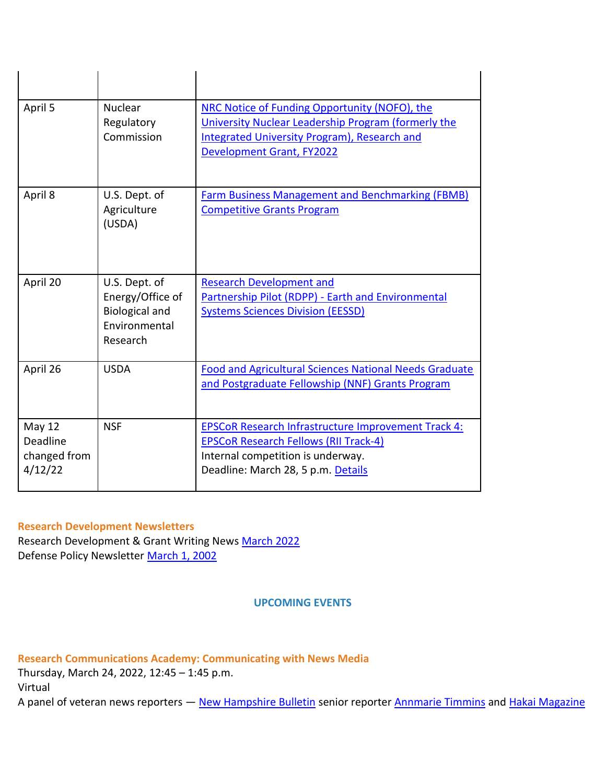| April 5                                       | <b>Nuclear</b><br>Regulatory<br>Commission                                              | NRC Notice of Funding Opportunity (NOFO), the<br>University Nuclear Leadership Program (formerly the<br>Integrated University Program), Research and<br>Development Grant, FY2022     |
|-----------------------------------------------|-----------------------------------------------------------------------------------------|---------------------------------------------------------------------------------------------------------------------------------------------------------------------------------------|
| April 8                                       | U.S. Dept. of<br>Agriculture<br>(USDA)                                                  | <b>Farm Business Management and Benchmarking (FBMB)</b><br><b>Competitive Grants Program</b>                                                                                          |
| April 20                                      | U.S. Dept. of<br>Energy/Office of<br><b>Biological and</b><br>Environmental<br>Research | <b>Research Development and</b><br>Partnership Pilot (RDPP) - Earth and Environmental<br><b>Systems Sciences Division (EESSD)</b>                                                     |
| April 26                                      | <b>USDA</b>                                                                             | <b>Food and Agricultural Sciences National Needs Graduate</b><br>and Postgraduate Fellowship (NNF) Grants Program                                                                     |
| May 12<br>Deadline<br>changed from<br>4/12/22 | <b>NSF</b>                                                                              | <b>EPSCoR Research Infrastructure Improvement Track 4:</b><br><b>EPSCoR Research Fellows (RII Track-4)</b><br>Internal competition is underway.<br>Deadline: March 28, 5 p.m. Details |

#### **Research Development Newsletters**

Research Development & Grant Writing News [March 2022](https://nam12.safelinks.protection.outlook.com/?url=https%3A%2F%2Fclick.send.unh.edu%2F%3Fqs%3D22327bbf795f3f19b040febae0c437f6b6ed159fc860c505655804fd851025821084ce88e27eb35bb60bec34af2951a131f0f233817d15b5&data=04%7C01%7CNicole.Hentz%40unh.edu%7C65aee4f2b1a94916a6eb08da0cff5bdb%7Cd6241893512d46dc8d2bbe47e25f5666%7C0%7C0%7C637836588136539405%7CUnknown%7CTWFpbGZsb3d8eyJWIjoiMC4wLjAwMDAiLCJQIjoiV2luMzIiLCJBTiI6Ik1haWwiLCJXVCI6Mn0%3D%7C3000&sdata=%2Bz6qQtqh999G5UCkKECLM%2FUgEyVPpKYX1AkJ%2FIHxzP4%3D&reserved=0) Defense Policy Newsletter [March 1, 2002](https://nam12.safelinks.protection.outlook.com/?url=https%3A%2F%2Fclick.send.unh.edu%2F%3Fqs%3D22327bbf795f3f1974cff9b2d5f4c5f2ddcd1fa459b5121009878d436d31d0866dc960554913f759b8999a4e2e89fcac6c34ee1499075a0d&data=04%7C01%7CNicole.Hentz%40unh.edu%7C65aee4f2b1a94916a6eb08da0cff5bdb%7Cd6241893512d46dc8d2bbe47e25f5666%7C0%7C0%7C637836588136539405%7CUnknown%7CTWFpbGZsb3d8eyJWIjoiMC4wLjAwMDAiLCJQIjoiV2luMzIiLCJBTiI6Ik1haWwiLCJXVCI6Mn0%3D%7C3000&sdata=OB8%2FqxJOQ3zB7sY0iq0LRw9EiDDRYMLXDEN8OoLfLjw%3D&reserved=0)

**UPCOMING EVENTS**

**Research Communications Academy: Communicating with News Media**

Thursday, March 24, 2022, 12:45 – 1:45 p.m.

Virtual

A panel of veteran news reporters - [New Hampshire Bulletin](https://nam12.safelinks.protection.outlook.com/?url=https%3A%2F%2Fclick.send.unh.edu%2F%3Fqs%3D22327bbf795f3f19d3584a46040552fa78766988c33081fb3889868ea38b59df3682423bf7f361286c93a20a5335fcf0017f0ac40d088e5c&data=04%7C01%7CNicole.Hentz%40unh.edu%7C65aee4f2b1a94916a6eb08da0cff5bdb%7Cd6241893512d46dc8d2bbe47e25f5666%7C0%7C0%7C637836588136539405%7CUnknown%7CTWFpbGZsb3d8eyJWIjoiMC4wLjAwMDAiLCJQIjoiV2luMzIiLCJBTiI6Ik1haWwiLCJXVCI6Mn0%3D%7C3000&sdata=rD3l1BVzJSSsKq4qlgtnLpiA1VUfI03QnT4XsOFGPLw%3D&reserved=0) senior reporter [Annmarie Timmins](https://nam12.safelinks.protection.outlook.com/?url=https%3A%2F%2Fclick.send.unh.edu%2F%3Fqs%3D22327bbf795f3f1963d2a3eac72eaa9fcff34112416269ecd48225a5b1986e8ac9e6974b5356534e93b0bffbcb08b8205e1bea1b3620e8ec&data=04%7C01%7CNicole.Hentz%40unh.edu%7C65aee4f2b1a94916a6eb08da0cff5bdb%7Cd6241893512d46dc8d2bbe47e25f5666%7C0%7C0%7C637836588136539405%7CUnknown%7CTWFpbGZsb3d8eyJWIjoiMC4wLjAwMDAiLCJQIjoiV2luMzIiLCJBTiI6Ik1haWwiLCJXVCI6Mn0%3D%7C3000&sdata=Wz4RIaXGJT8pF%2Bw8t%2BaJ7vitb0H%2Ba7PdPLDZKpEk2dY%3D&reserved=0) and [Hakai Magazine](https://nam12.safelinks.protection.outlook.com/?url=https%3A%2F%2Fclick.send.unh.edu%2F%3Fqs%3D22327bbf795f3f19ea699e1e0e1b990a4ce49e91380b63795cd7f22ec32e6cc852f18fb84f3fa0943cc1505c5ff85ec3bbd016c00ecf424c&data=04%7C01%7CNicole.Hentz%40unh.edu%7C65aee4f2b1a94916a6eb08da0cff5bdb%7Cd6241893512d46dc8d2bbe47e25f5666%7C0%7C0%7C637836588136539405%7CUnknown%7CTWFpbGZsb3d8eyJWIjoiMC4wLjAwMDAiLCJQIjoiV2luMzIiLCJBTiI6Ik1haWwiLCJXVCI6Mn0%3D%7C3000&sdata=DXEsgvlbLgxNyFm4P41vEXqvT%2BDP4rW9VWPihNC5H0c%3D&reserved=0)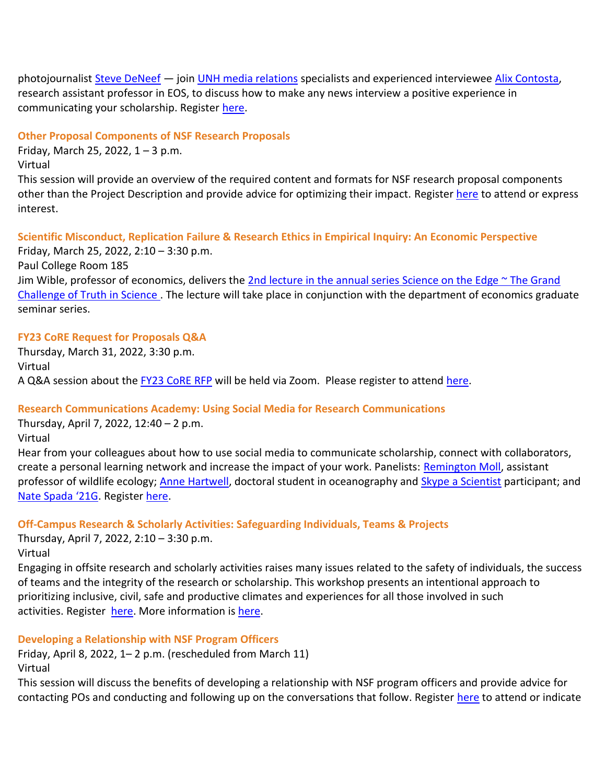photojournalist [Steve DeNeef](https://nam12.safelinks.protection.outlook.com/?url=https%3A%2F%2Fclick.send.unh.edu%2F%3Fqs%3D22327bbf795f3f19c85dd98485e01dfb3425172161945c667b6e8a9820cb4736c5b0786b36392b0718502c2aec50ec0fa3bc680f276775ec&data=04%7C01%7CNicole.Hentz%40unh.edu%7C65aee4f2b1a94916a6eb08da0cff5bdb%7Cd6241893512d46dc8d2bbe47e25f5666%7C0%7C0%7C637836588136539405%7CUnknown%7CTWFpbGZsb3d8eyJWIjoiMC4wLjAwMDAiLCJQIjoiV2luMzIiLCJBTiI6Ik1haWwiLCJXVCI6Mn0%3D%7C3000&sdata=Y1c%2F91UN48lH4xA0msR9Xr%2FrCsjX1TGNMbQ2xpfcTno%3D&reserved=0) — join [UNH media relations](https://nam12.safelinks.protection.outlook.com/?url=https%3A%2F%2Fclick.send.unh.edu%2F%3Fqs%3D22327bbf795f3f19bbf0b46107cb77198db8df35769ba8e29cbbb501610726257f41fa0a5fd5f83ed12d7bef8ccbfd1373de6cf995120977&data=04%7C01%7CNicole.Hentz%40unh.edu%7C65aee4f2b1a94916a6eb08da0cff5bdb%7Cd6241893512d46dc8d2bbe47e25f5666%7C0%7C0%7C637836588136539405%7CUnknown%7CTWFpbGZsb3d8eyJWIjoiMC4wLjAwMDAiLCJQIjoiV2luMzIiLCJBTiI6Ik1haWwiLCJXVCI6Mn0%3D%7C3000&sdata=jjx5r3dgRmU3I%2BitQ%2BWgd35Tl7cIfuoHrs3pzzQnxlI%3D&reserved=0) specialists and experienced interviewee [Alix Contosta,](https://nam12.safelinks.protection.outlook.com/?url=https%3A%2F%2Fclick.send.unh.edu%2F%3Fqs%3D22327bbf795f3f191654339a14315ae64782f4188875b9d89b66c381243844484a41c2bc90b3aed5d35aabfa01cb34b965d8667133f8c2e6&data=04%7C01%7CNicole.Hentz%40unh.edu%7C65aee4f2b1a94916a6eb08da0cff5bdb%7Cd6241893512d46dc8d2bbe47e25f5666%7C0%7C0%7C637836588136539405%7CUnknown%7CTWFpbGZsb3d8eyJWIjoiMC4wLjAwMDAiLCJQIjoiV2luMzIiLCJBTiI6Ik1haWwiLCJXVCI6Mn0%3D%7C3000&sdata=Di6evTg7wSmuVlbJ6qG7qe8Zq3XbB%2FYTOgV9vlj%2FxrY%3D&reserved=0) research assistant professor in EOS, to discuss how to make any news interview a positive experience in communicating your scholarship. Register [here.](https://nam12.safelinks.protection.outlook.com/?url=https%3A%2F%2Fclick.send.unh.edu%2F%3Fqs%3D22327bbf795f3f19d1e1fdfd9c802b681c1642b38c4f1c44f228621984236a2415df113765214d91dbcf21d2b891db1905e554406610fbdb&data=04%7C01%7CNicole.Hentz%40unh.edu%7C65aee4f2b1a94916a6eb08da0cff5bdb%7Cd6241893512d46dc8d2bbe47e25f5666%7C0%7C0%7C637836588136539405%7CUnknown%7CTWFpbGZsb3d8eyJWIjoiMC4wLjAwMDAiLCJQIjoiV2luMzIiLCJBTiI6Ik1haWwiLCJXVCI6Mn0%3D%7C3000&sdata=u9WLukTs4oJiriXmn6Owz%2FHkgem6L9YEtKCOZ7RTPDo%3D&reserved=0)

#### **Other Proposal Components of NSF Research Proposals**

Friday, March 25, 2022,  $1 - 3$  p.m. Virtual

This session will provide an overview of the required content and formats for NSF research proposal components other than the Project Description and provide advice for optimizing their impact. Register [here](https://nam12.safelinks.protection.outlook.com/?url=https%3A%2F%2Fclick.send.unh.edu%2F%3Fqs%3D22327bbf795f3f19640e0d2f9648ba8c5742682297a80975eeae40679b04974c974f1b50c0be33acc01cb98d706379cd0e099ca5389ff462&data=04%7C01%7CNicole.Hentz%40unh.edu%7C65aee4f2b1a94916a6eb08da0cff5bdb%7Cd6241893512d46dc8d2bbe47e25f5666%7C0%7C0%7C637836588136539405%7CUnknown%7CTWFpbGZsb3d8eyJWIjoiMC4wLjAwMDAiLCJQIjoiV2luMzIiLCJBTiI6Ik1haWwiLCJXVCI6Mn0%3D%7C3000&sdata=wfJUsy5UBBWdmS4T0UjsGkDEHhUmElLya18aDuUvVKo%3D&reserved=0) to attend or express interest.

#### **Scientific Misconduct, Replication Failure & Research Ethics in Empirical Inquiry: An Economic Perspective**

Friday, March 25, 2022, 2:10 – 3:30 p.m. Paul College Room 185 Jim Wible, professor of economics, delivers the 2nd lecture in the annual series Science on the Edge ~ The Grand [Challenge of Truth in Science .](https://nam12.safelinks.protection.outlook.com/?url=https%3A%2F%2Fclick.send.unh.edu%2F%3Fqs%3D22327bbf795f3f19f0ce65109ddbc60b1db60c3485c87ccf552109f7b75a2cdd5d352b2896b7cc2dcd09b9402846fac78a427ad56f321dc8&data=04%7C01%7CNicole.Hentz%40unh.edu%7C65aee4f2b1a94916a6eb08da0cff5bdb%7Cd6241893512d46dc8d2bbe47e25f5666%7C0%7C0%7C637836588136539405%7CUnknown%7CTWFpbGZsb3d8eyJWIjoiMC4wLjAwMDAiLCJQIjoiV2luMzIiLCJBTiI6Ik1haWwiLCJXVCI6Mn0%3D%7C3000&sdata=QdhvYWipONKPOjXbgOVp1aCMG27k99ypfMV2SDSKmGw%3D&reserved=0) The lecture will take place in conjunction with the department of economics graduate seminar series.

#### **FY23 CoRE Request for Proposals Q&A**

Thursday, March 31, 2022, 3:30 p.m. Virtual A Q&A session about the [FY23 CoRE RFP](https://nam12.safelinks.protection.outlook.com/?url=https%3A%2F%2Fclick.send.unh.edu%2F%3Fqs%3D22327bbf795f3f195ea9c63335be3b35c5b06bc0740339477510888bfb528554c33b83dae61d7c0d25c8b4452c55d80e9bb6a99b164886b4&data=04%7C01%7CNicole.Hentz%40unh.edu%7C65aee4f2b1a94916a6eb08da0cff5bdb%7Cd6241893512d46dc8d2bbe47e25f5666%7C0%7C0%7C637836588136539405%7CUnknown%7CTWFpbGZsb3d8eyJWIjoiMC4wLjAwMDAiLCJQIjoiV2luMzIiLCJBTiI6Ik1haWwiLCJXVCI6Mn0%3D%7C3000&sdata=PYMATkrUA58JoAxfS6gXEtAqfLJdOoUqEYkMDmpW0Z8%3D&reserved=0) will be held via Zoom. Please register to attend [here.](https://nam12.safelinks.protection.outlook.com/?url=https%3A%2F%2Fclick.send.unh.edu%2F%3Fqs%3Da6b9211740bfcbabf8fc63f558982ccc1035a69679e66bbeae1868a87306ae0bf7c5ac7061c6c0f7194fdaeec4eb67307b64d654492bf5fa&data=04%7C01%7CNicole.Hentz%40unh.edu%7C65aee4f2b1a94916a6eb08da0cff5bdb%7Cd6241893512d46dc8d2bbe47e25f5666%7C0%7C0%7C637836588136539405%7CUnknown%7CTWFpbGZsb3d8eyJWIjoiMC4wLjAwMDAiLCJQIjoiV2luMzIiLCJBTiI6Ik1haWwiLCJXVCI6Mn0%3D%7C3000&sdata=Q55TGtUDiTlgRiwEbE0q5Fi1JpPmFL7YPWEMXsivAYA%3D&reserved=0)

# **Research Communications Academy: Using Social Media for Research Communications**

Thursday, April 7, 2022, 12:40 – 2 p.m. Virtual

Hear from your colleagues about how to use social media to communicate scholarship, connect with collaborators, create a personal learning network and increase the impact of your work. Panelists: [Remington Moll,](https://nam12.safelinks.protection.outlook.com/?url=https%3A%2F%2Fclick.send.unh.edu%2F%3Fqs%3D22327bbf795f3f19bfdd08a0378ff7177a2f2c0adf037d34c0ebc85e068d920717d93628837cd67a709dab71aae3c759fbea32685c93b79f&data=04%7C01%7CNicole.Hentz%40unh.edu%7C65aee4f2b1a94916a6eb08da0cff5bdb%7Cd6241893512d46dc8d2bbe47e25f5666%7C0%7C0%7C637836588136539405%7CUnknown%7CTWFpbGZsb3d8eyJWIjoiMC4wLjAwMDAiLCJQIjoiV2luMzIiLCJBTiI6Ik1haWwiLCJXVCI6Mn0%3D%7C3000&sdata=LaRLZkpixX3coi8cFHmemsRtVRdU%2FtY9bL0Nr0EAato%3D&reserved=0) assistant professor of wildlife ecology; [Anne Hartwell,](https://nam12.safelinks.protection.outlook.com/?url=https%3A%2F%2Fclick.send.unh.edu%2F%3Fqs%3D22327bbf795f3f19b94f1ce11283e8582ce1d6802f2c3b60837d4b8de286efe6c88ff99402907a184e1c94b7f32e7416fb98d649442a112b&data=04%7C01%7CNicole.Hentz%40unh.edu%7C65aee4f2b1a94916a6eb08da0cff5bdb%7Cd6241893512d46dc8d2bbe47e25f5666%7C0%7C0%7C637836588136539405%7CUnknown%7CTWFpbGZsb3d8eyJWIjoiMC4wLjAwMDAiLCJQIjoiV2luMzIiLCJBTiI6Ik1haWwiLCJXVCI6Mn0%3D%7C3000&sdata=KO7bP5nkxsCzS8GZRr3RImNKDgLoL3010qhthWkGdiM%3D&reserved=0) doctoral student in oceanography and [Skype a Scientist](https://nam12.safelinks.protection.outlook.com/?url=https%3A%2F%2Fclick.send.unh.edu%2F%3Fqs%3D22327bbf795f3f19b733b338a05775c322250c0a4f48f0a54f6b265f445d565c1afb09de075a9429937e7354f7ee6a8cb470bd1b88aab26c&data=04%7C01%7CNicole.Hentz%40unh.edu%7C65aee4f2b1a94916a6eb08da0cff5bdb%7Cd6241893512d46dc8d2bbe47e25f5666%7C0%7C0%7C637836588136539405%7CUnknown%7CTWFpbGZsb3d8eyJWIjoiMC4wLjAwMDAiLCJQIjoiV2luMzIiLCJBTiI6Ik1haWwiLCJXVCI6Mn0%3D%7C3000&sdata=Zu8yDyUos8nROcVNcxeZCE%2BVzMHSpGM7EbyPulUM388%3D&reserved=0) participant; and [Nate Spada '21G](https://nam12.safelinks.protection.outlook.com/?url=https%3A%2F%2Fclick.send.unh.edu%2F%3Fqs%3D22327bbf795f3f191cc2272857579ebca7c081b067818644f08fe970513fb145972367eb5755883cc8d0ec3ed07028c40c7822a5a968b182&data=04%7C01%7CNicole.Hentz%40unh.edu%7C65aee4f2b1a94916a6eb08da0cff5bdb%7Cd6241893512d46dc8d2bbe47e25f5666%7C0%7C0%7C637836588136539405%7CUnknown%7CTWFpbGZsb3d8eyJWIjoiMC4wLjAwMDAiLCJQIjoiV2luMzIiLCJBTiI6Ik1haWwiLCJXVCI6Mn0%3D%7C3000&sdata=MLqhUsTJhpdLh0hbFfQ27L5iLlDcBfZSIWwDP3jX9%2Fc%3D&reserved=0). Register [here.](https://nam12.safelinks.protection.outlook.com/?url=https%3A%2F%2Fclick.send.unh.edu%2F%3Fqs%3D22327bbf795f3f19675584f3242294eab428423400473f36fdef3be0d3f5ca8329bdcbdfb008fb6cf6fae2a2b8f0b70dc3fdefbcebc8849d&data=04%7C01%7CNicole.Hentz%40unh.edu%7C65aee4f2b1a94916a6eb08da0cff5bdb%7Cd6241893512d46dc8d2bbe47e25f5666%7C0%7C0%7C637836588136539405%7CUnknown%7CTWFpbGZsb3d8eyJWIjoiMC4wLjAwMDAiLCJQIjoiV2luMzIiLCJBTiI6Ik1haWwiLCJXVCI6Mn0%3D%7C3000&sdata=qYwnlMDsNIPFAXfdEuAXTuCL%2B35UBlyHOMnKM%2FsZ0Vw%3D&reserved=0)

# **Off-Campus Research & Scholarly Activities: Safeguarding Individuals, Teams & Projects**

Thursday, April 7, 2022, 2:10 – 3:30 p.m. Virtual

Engaging in offsite research and scholarly activities raises many issues related to the safety of individuals, the success of teams and the integrity of the research or scholarship. This workshop presents an intentional approach to prioritizing inclusive, civil, safe and productive climates and experiences for all those involved in such activities. Register [here.](https://nam12.safelinks.protection.outlook.com/?url=https%3A%2F%2Fclick.send.unh.edu%2F%3Fqs%3D22327bbf795f3f193b3bbe17fd258cc2b6038d135af807e5a964f0d9c637e4af16ea9fa67af34519ae4eb7eda03266f3c972f932661a3ef4&data=04%7C01%7CNicole.Hentz%40unh.edu%7C65aee4f2b1a94916a6eb08da0cff5bdb%7Cd6241893512d46dc8d2bbe47e25f5666%7C0%7C0%7C637836588136539405%7CUnknown%7CTWFpbGZsb3d8eyJWIjoiMC4wLjAwMDAiLCJQIjoiV2luMzIiLCJBTiI6Ik1haWwiLCJXVCI6Mn0%3D%7C3000&sdata=qrS%2BztOOxuT0B7SThW4l9%2BFtf%2FJvPrd9oJmH%2BFgFK7s%3D&reserved=0) More information i[s here.](https://nam12.safelinks.protection.outlook.com/?url=https%3A%2F%2Fclick.send.unh.edu%2F%3Fqs%3D22327bbf795f3f19e3975638b146d21654ec388a381a603883f83c0b20a6b00fea737ba905be54a8e8e25d0a14a8d41833f222db6581f629&data=04%7C01%7CNicole.Hentz%40unh.edu%7C65aee4f2b1a94916a6eb08da0cff5bdb%7Cd6241893512d46dc8d2bbe47e25f5666%7C0%7C0%7C637836588136539405%7CUnknown%7CTWFpbGZsb3d8eyJWIjoiMC4wLjAwMDAiLCJQIjoiV2luMzIiLCJBTiI6Ik1haWwiLCJXVCI6Mn0%3D%7C3000&sdata=PrGznioNT3MQf%2BEMiyEs196Z9MR1P4qlsDNtGSw2eA4%3D&reserved=0)

# **Developing a Relationship with NSF Program Officers**

Friday, April 8, 2022, 1– 2 p.m. (rescheduled from March 11) Virtual

This session will discuss the benefits of developing a relationship with NSF program officers and provide advice for contacting POs and conducting and following up on the conversations that follow. Register [here](https://nam12.safelinks.protection.outlook.com/?url=https%3A%2F%2Fclick.send.unh.edu%2F%3Fqs%3D22327bbf795f3f193669be342e6ecfb7d9f2c3f9cf8d36ec4b66e9c3468759b7b2823ce8ab7313ccdedb9671377196b0fbac257bf195c0f0&data=04%7C01%7CNicole.Hentz%40unh.edu%7C65aee4f2b1a94916a6eb08da0cff5bdb%7Cd6241893512d46dc8d2bbe47e25f5666%7C0%7C0%7C637836588136539405%7CUnknown%7CTWFpbGZsb3d8eyJWIjoiMC4wLjAwMDAiLCJQIjoiV2luMzIiLCJBTiI6Ik1haWwiLCJXVCI6Mn0%3D%7C3000&sdata=HWkumBoflNkwiWOr%2FUqL%2BGrYUo1LVgjAUDfs535rZAk%3D&reserved=0) to attend or indicate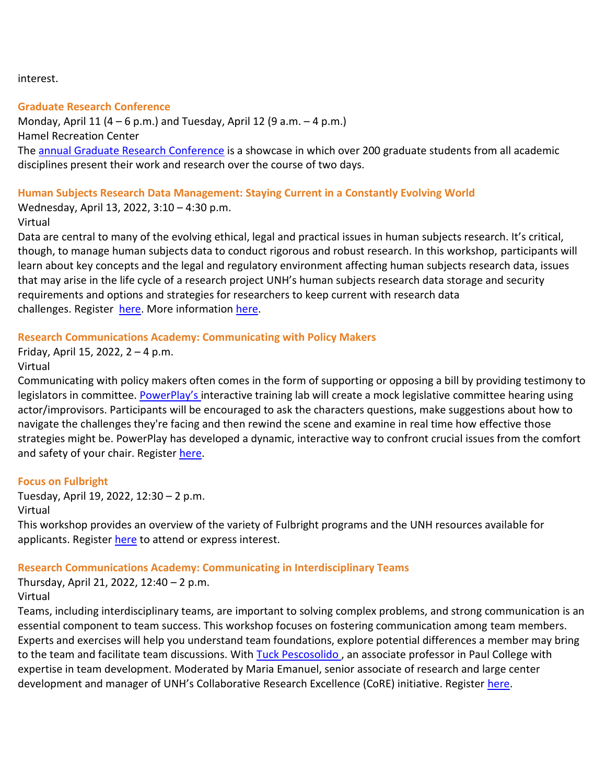interest.

# **Graduate Research Conference**

Monday, April 11 (4 – 6 p.m.) and Tuesday, April 12 (9 a.m. – 4 p.m.) Hamel Recreation Center The [annual Graduate Research Conference](https://nam12.safelinks.protection.outlook.com/?url=https%3A%2F%2Fclick.send.unh.edu%2F%3Fqs%3D22327bbf795f3f19a8febcd02c2173638edd07a38b764e5809bc48db7b388261cdafdee9da3ff1a67290b7e480d3311411f27a2e3be5821f&data=04%7C01%7CNicole.Hentz%40unh.edu%7C65aee4f2b1a94916a6eb08da0cff5bdb%7Cd6241893512d46dc8d2bbe47e25f5666%7C0%7C0%7C637836588136539405%7CUnknown%7CTWFpbGZsb3d8eyJWIjoiMC4wLjAwMDAiLCJQIjoiV2luMzIiLCJBTiI6Ik1haWwiLCJXVCI6Mn0%3D%7C3000&sdata=ujl%2BkPog22bwDkGVy%2FyZTXKLHhP%2BjfRFDgxLgh47m2Q%3D&reserved=0) is a showcase in which over 200 graduate students from all academic disciplines present their work and research over the course of two days.

# **Human Subjects Research Data Management: Staying Current in a Constantly Evolving World**

Wednesday, April 13, 2022, 3:10 – 4:30 p.m.

# Virtual

Data are central to many of the evolving ethical, legal and practical issues in human subjects research. It's critical, though, to manage human subjects data to conduct rigorous and robust research. In this workshop, participants will learn about key concepts and the legal and regulatory environment affecting human subjects research data, issues that may arise in the life cycle of a research project UNH's human subjects research data storage and security requirements and options and strategies for researchers to keep current with research data challenges. Register [here.](https://nam12.safelinks.protection.outlook.com/?url=https%3A%2F%2Fclick.send.unh.edu%2F%3Fqs%3D22327bbf795f3f19fe08dc6fe957725f1029cfc58eb53b763bae6667e25fc77aee67c3bfb63ca158d462bfc1d972f6f1ea14f219a5d20113&data=04%7C01%7CNicole.Hentz%40unh.edu%7C65aee4f2b1a94916a6eb08da0cff5bdb%7Cd6241893512d46dc8d2bbe47e25f5666%7C0%7C0%7C637836588136539405%7CUnknown%7CTWFpbGZsb3d8eyJWIjoiMC4wLjAwMDAiLCJQIjoiV2luMzIiLCJBTiI6Ik1haWwiLCJXVCI6Mn0%3D%7C3000&sdata=ZEi1SLVg4yty7%2BaUrqFixTRsWcw98Sv09iJstPyEX2w%3D&reserved=0) More information [here.](https://nam12.safelinks.protection.outlook.com/?url=https%3A%2F%2Fclick.send.unh.edu%2F%3Fqs%3D22327bbf795f3f194a4c030f10e7321f99c30ab385732d45bb1c84fb290244c927643f4e2e9a6028a72729123ab857d2e071063d76eed3d7&data=04%7C01%7CNicole.Hentz%40unh.edu%7C65aee4f2b1a94916a6eb08da0cff5bdb%7Cd6241893512d46dc8d2bbe47e25f5666%7C0%7C0%7C637836588136539405%7CUnknown%7CTWFpbGZsb3d8eyJWIjoiMC4wLjAwMDAiLCJQIjoiV2luMzIiLCJBTiI6Ik1haWwiLCJXVCI6Mn0%3D%7C3000&sdata=RydMPb5AALpXXEJhRSfqUg8EBYQp8hb11awcrYybcCs%3D&reserved=0)

# **Research Communications Academy: Communicating with Policy Makers**

Friday, April 15, 2022, 2 – 4 p.m. Virtual

Communicating with policy makers often comes in the form of supporting or opposing a bill by providing testimony to legislators in committee. [PowerPlay's](https://nam12.safelinks.protection.outlook.com/?url=https%3A%2F%2Fclick.send.unh.edu%2F%3Fqs%3D22327bbf795f3f1922fe5c872d90b9bd798ffd1c14b3442ed3fac2a848992de9cd198c8bb2a02f7358f20460cbd6cebfea5096453a65a739&data=04%7C01%7CNicole.Hentz%40unh.edu%7C65aee4f2b1a94916a6eb08da0cff5bdb%7Cd6241893512d46dc8d2bbe47e25f5666%7C0%7C0%7C637836588136539405%7CUnknown%7CTWFpbGZsb3d8eyJWIjoiMC4wLjAwMDAiLCJQIjoiV2luMzIiLCJBTiI6Ik1haWwiLCJXVCI6Mn0%3D%7C3000&sdata=d3qjomxK08rMSDlavXficYHRBTz8JfrmdePwbyFRCCc%3D&reserved=0) interactive training lab will create a mock legislative committee hearing using actor/improvisors. Participants will be encouraged to ask the characters questions, make suggestions about how to navigate the challenges they're facing and then rewind the scene and examine in real time how effective those strategies might be. PowerPlay has developed a dynamic, interactive way to confront crucial issues from the comfort and safety of your chair. Register [here.](https://nam12.safelinks.protection.outlook.com/?url=https%3A%2F%2Fclick.send.unh.edu%2F%3Fqs%3D22327bbf795f3f19c16bcb9bdd9d0e99f55c1451bf59749eb45ed2f8585e3d3cc254cbdb1ac38c4cf4572b111b8e25fa1e09dfebd31eb3b8&data=04%7C01%7CNicole.Hentz%40unh.edu%7C65aee4f2b1a94916a6eb08da0cff5bdb%7Cd6241893512d46dc8d2bbe47e25f5666%7C0%7C0%7C637836588136539405%7CUnknown%7CTWFpbGZsb3d8eyJWIjoiMC4wLjAwMDAiLCJQIjoiV2luMzIiLCJBTiI6Ik1haWwiLCJXVCI6Mn0%3D%7C3000&sdata=Gr1yjUzhkntT4PNwnxA7SFI0nG7ll9oS79bSaXqwck8%3D&reserved=0)

# **Focus on Fulbright**

Tuesday, April 19, 2022, 12:30 – 2 p.m. Virtual

This workshop provides an overview of the variety of Fulbright programs and the UNH resources available for applicants. Register [here](https://nam12.safelinks.protection.outlook.com/?url=https%3A%2F%2Fclick.send.unh.edu%2F%3Fqs%3D22327bbf795f3f19e18dfa08bbf20aad7269b85af5e90517d84924b09a35fc03e1b92dffbdcb3fe618cde5bc82d241d3a58cb74e8bc21cb1&data=04%7C01%7CNicole.Hentz%40unh.edu%7C65aee4f2b1a94916a6eb08da0cff5bdb%7Cd6241893512d46dc8d2bbe47e25f5666%7C0%7C0%7C637836588136539405%7CUnknown%7CTWFpbGZsb3d8eyJWIjoiMC4wLjAwMDAiLCJQIjoiV2luMzIiLCJBTiI6Ik1haWwiLCJXVCI6Mn0%3D%7C3000&sdata=S5v%2FKXRktMzz9iki2GwP0LQoeWebpN%2BGqFMw2Zkmrr0%3D&reserved=0) to attend or express interest.

# **Research Communications Academy: Communicating in Interdisciplinary Teams**

Thursday, April 21, 2022, 12:40 – 2 p.m.

# Virtual

Teams, including interdisciplinary teams, are important to solving complex problems, and strong communication is an essential component to team success. This workshop focuses on fostering communication among team members. Experts and exercises will help you understand team foundations, explore potential differences a member may bring to the team and facilitate team discussions. With Tuck Pescosolido, an associate professor in Paul College with expertise in team development. Moderated by Maria Emanuel, senior associate of research and large center development and manager of UNH's Collaborative Research Excellence (CoRE) initiative. Register [here.](https://nam12.safelinks.protection.outlook.com/?url=https%3A%2F%2Fclick.send.unh.edu%2F%3Fqs%3D22327bbf795f3f1954daf8a49f4a82aed82a3b42e25aba596993d33c5d90d566207d919964b246c5dc7658dc37b1f07f08cd4ebb897c2baa&data=04%7C01%7CNicole.Hentz%40unh.edu%7C65aee4f2b1a94916a6eb08da0cff5bdb%7Cd6241893512d46dc8d2bbe47e25f5666%7C0%7C0%7C637836588136695648%7CUnknown%7CTWFpbGZsb3d8eyJWIjoiMC4wLjAwMDAiLCJQIjoiV2luMzIiLCJBTiI6Ik1haWwiLCJXVCI6Mn0%3D%7C3000&sdata=cAqjnWPwNwqKEtUkLGq%2FLLsdrRBgD8YgBlo4D%2B07Fk8%3D&reserved=0)